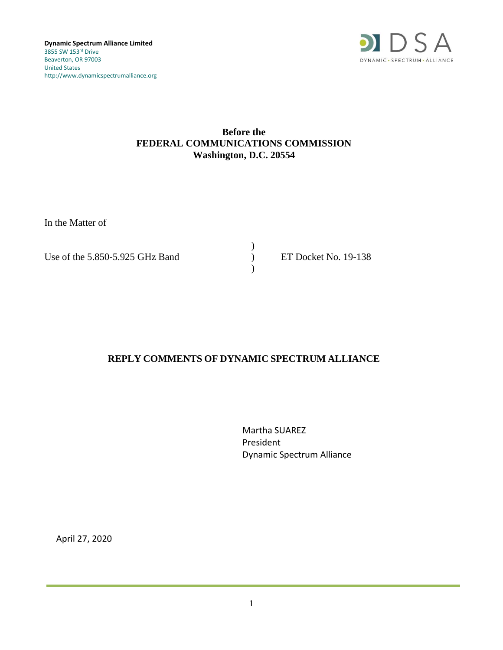

## **Before the FEDERAL COMMUNICATIONS COMMISSION Washington, D.C. 20554**

In the Matter of

Use of the 5.850-5.925 GHz Band (a) ET Docket No. 19-138

 $\mathcal{L}$ )

## **REPLY COMMENTS OF DYNAMIC SPECTRUM ALLIANCE**

Martha SUAREZ President Dynamic Spectrum Alliance

April 27, 2020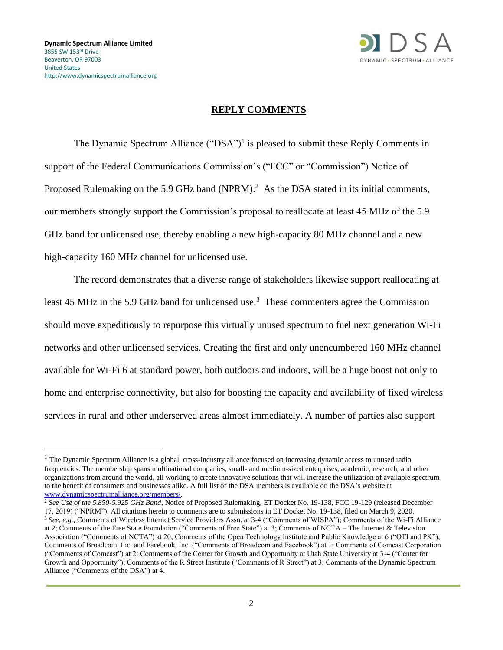

## **REPLY COMMENTS**

The Dynamic Spectrum Alliance  $("DSA")$ <sup>1</sup> is pleased to submit these Reply Comments in support of the Federal Communications Commission's ("FCC" or "Commission") Notice of Proposed Rulemaking on the 5.9 GHz band (NPRM).<sup>2</sup> As the DSA stated in its initial comments, our members strongly support the Commission's proposal to reallocate at least 45 MHz of the 5.9 GHz band for unlicensed use, thereby enabling a new high-capacity 80 MHz channel and a new high-capacity 160 MHz channel for unlicensed use.

The record demonstrates that a diverse range of stakeholders likewise support reallocating at least 45 MHz in the 5.9 GHz band for unlicensed use.<sup>3</sup> These commenters agree the Commission should move expeditiously to repurpose this virtually unused spectrum to fuel next generation Wi-Fi networks and other unlicensed services. Creating the first and only unencumbered 160 MHz channel available for Wi-Fi 6 at standard power, both outdoors and indoors, will be a huge boost not only to home and enterprise connectivity, but also for boosting the capacity and availability of fixed wireless services in rural and other underserved areas almost immediately. A number of parties also support

<sup>2</sup> *See Use of the 5.850-5.925 GHz Band*, Notice of Proposed Rulemaking, ET Docket No. 19-138, FCC 19-129 (released December 17, 2019) ("NPRM"). All citations herein to comments are to submissions in ET Docket No. 19-138, filed on March 9, 2020.

<sup>&</sup>lt;sup>1</sup> The Dynamic Spectrum Alliance is a global, cross-industry alliance focused on increasing dynamic access to unused radio frequencies. The membership spans multinational companies, small- and medium-sized enterprises, academic, research, and other organizations from around the world, all working to create innovative solutions that will increase the utilization of available spectrum to the benefit of consumers and businesses alike. A full list of the DSA members is available on the DSA's website at [www.dynamicspectrumalliance.org/members/.](http://www.dynamicspectrumalliance.org/members/)

<sup>3</sup> *See, e.g.*, Comments of Wireless Internet Service Providers Assn. at 3-4 ("Comments of WISPA"); Comments of the Wi-Fi Alliance at 2; Comments of the Free State Foundation ("Comments of Free State") at 3; Comments of NCTA – The Internet & Television Association ("Comments of NCTA") at 20; Comments of the Open Technology Institute and Public Knowledge at 6 ("OTI and PK"); Comments of Broadcom, Inc. and Facebook, Inc. ("Comments of Broadcom and Facebook") at 1; Comments of Comcast Corporation ("Comments of Comcast") at 2: Comments of the Center for Growth and Opportunity at Utah State University at 3-4 ("Center for Growth and Opportunity"); Comments of the R Street Institute ("Comments of R Street") at 3; Comments of the Dynamic Spectrum Alliance ("Comments of the DSA") at 4.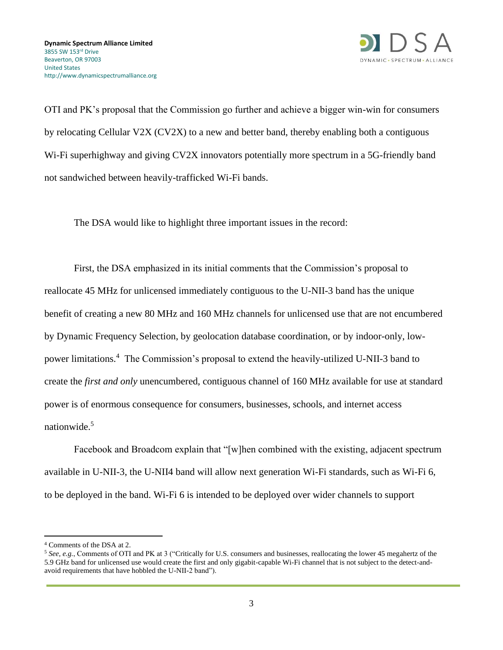

OTI and PK's proposal that the Commission go further and achieve a bigger win-win for consumers by relocating Cellular V2X (CV2X) to a new and better band, thereby enabling both a contiguous W<sub>i-Fi</sub> superhighway and giving CV<sub>2X</sub> innovators potentially more spectrum in a 5G-friendly band not sandwiched between heavily-trafficked Wi-Fi bands.

The DSA would like to highlight three important issues in the record:

First, the DSA emphasized in its initial comments that the Commission's proposal to reallocate 45 MHz for unlicensed immediately contiguous to the U-NII-3 band has the unique benefit of creating a new 80 MHz and 160 MHz channels for unlicensed use that are not encumbered by Dynamic Frequency Selection, by geolocation database coordination, or by indoor-only, lowpower limitations.<sup>4</sup> The Commission's proposal to extend the heavily-utilized U-NII-3 band to create the *first and only* unencumbered, contiguous channel of 160 MHz available for use at standard power is of enormous consequence for consumers, businesses, schools, and internet access nationwide.<sup>5</sup>

Facebook and Broadcom explain that "[w]hen combined with the existing, adjacent spectrum available in U-NII-3, the U-NII4 band will allow next generation Wi-Fi standards, such as Wi-Fi 6, to be deployed in the band. Wi-Fi 6 is intended to be deployed over wider channels to support

<sup>4</sup> Comments of the DSA at 2.

<sup>5</sup> *See, e.g.*, Comments of OTI and PK at 3 ("Critically for U.S. consumers and businesses, reallocating the lower 45 megahertz of the 5.9 GHz band for unlicensed use would create the first and only gigabit-capable Wi-Fi channel that is not subject to the detect-andavoid requirements that have hobbled the U-NII-2 band").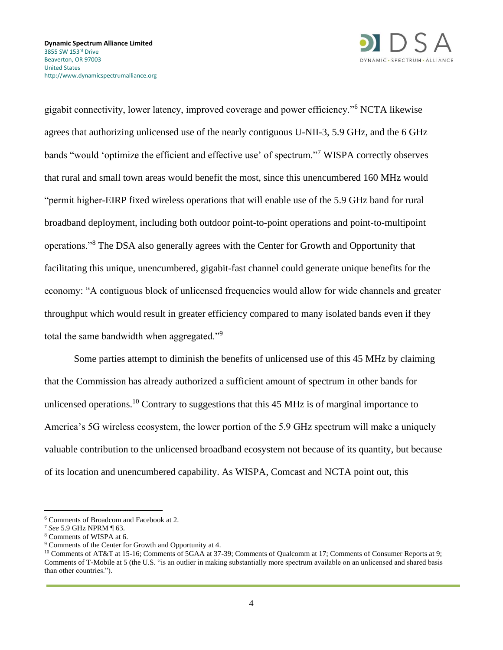

gigabit connectivity, lower latency, improved coverage and power efficiency."<sup>6</sup> NCTA likewise agrees that authorizing unlicensed use of the nearly contiguous U-NII-3, 5.9 GHz, and the 6 GHz bands "would 'optimize the efficient and effective use' of spectrum."<sup>7</sup> WISPA correctly observes that rural and small town areas would benefit the most, since this unencumbered 160 MHz would "permit higher-EIRP fixed wireless operations that will enable use of the 5.9 GHz band for rural broadband deployment, including both outdoor point-to-point operations and point-to-multipoint operations."<sup>8</sup> The DSA also generally agrees with the Center for Growth and Opportunity that facilitating this unique, unencumbered, gigabit-fast channel could generate unique benefits for the economy: "A contiguous block of unlicensed frequencies would allow for wide channels and greater throughput which would result in greater efficiency compared to many isolated bands even if they total the same bandwidth when aggregated."<sup>9</sup>

Some parties attempt to diminish the benefits of unlicensed use of this 45 MHz by claiming that the Commission has already authorized a sufficient amount of spectrum in other bands for unlicensed operations.<sup>10</sup> Contrary to suggestions that this 45 MHz is of marginal importance to America's 5G wireless ecosystem, the lower portion of the 5.9 GHz spectrum will make a uniquely valuable contribution to the unlicensed broadband ecosystem not because of its quantity, but because of its location and unencumbered capability. As WISPA, Comcast and NCTA point out, this

<sup>6</sup> Comments of Broadcom and Facebook at 2.

<sup>7</sup> *See* 5.9 GHz NPRM ¶ 63.

<sup>8</sup> Comments of WISPA at 6.

<sup>9</sup> Comments of the Center for Growth and Opportunity at 4.

<sup>&</sup>lt;sup>10</sup> Comments of AT&T at 15-16; Comments of 5GAA at 37-39; Comments of Qualcomm at 17; Comments of Consumer Reports at 9; Comments of T-Mobile at 5 (the U.S. "is an outlier in making substantially more spectrum available on an unlicensed and shared basis than other countries.").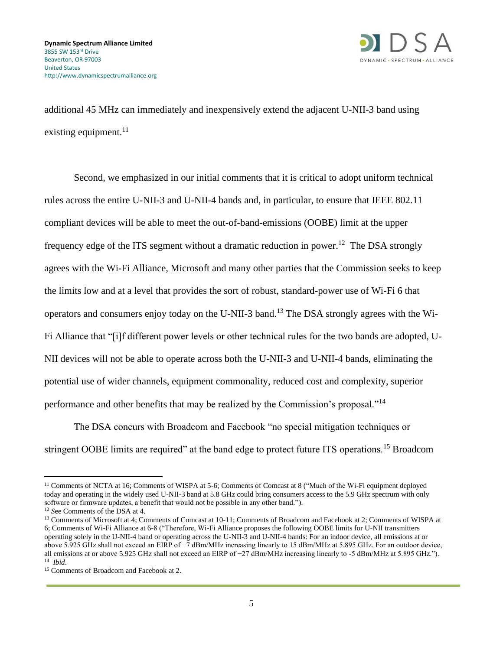

additional 45 MHz can immediately and inexpensively extend the adjacent U-NII-3 band using existing equipment. $^{11}$ 

Second, we emphasized in our initial comments that it is critical to adopt uniform technical rules across the entire U-NII-3 and U-NII-4 bands and, in particular, to ensure that IEEE 802.11 compliant devices will be able to meet the out-of-band-emissions (OOBE) limit at the upper frequency edge of the ITS segment without a dramatic reduction in power.<sup>12</sup> The DSA strongly agrees with the Wi-Fi Alliance, Microsoft and many other parties that the Commission seeks to keep the limits low and at a level that provides the sort of robust, standard-power use of Wi-Fi 6 that operators and consumers enjoy today on the U-NII-3 band.<sup>13</sup> The DSA strongly agrees with the Wi-Fi Alliance that "[i]f different power levels or other technical rules for the two bands are adopted, U-NII devices will not be able to operate across both the U-NII-3 and U-NII-4 bands, eliminating the potential use of wider channels, equipment commonality, reduced cost and complexity, superior performance and other benefits that may be realized by the Commission's proposal."<sup>14</sup>

The DSA concurs with Broadcom and Facebook "no special mitigation techniques or stringent OOBE limits are required" at the band edge to protect future ITS operations.<sup>15</sup> Broadcom

<sup>&</sup>lt;sup>11</sup> Comments of NCTA at 16; Comments of WISPA at 5-6; Comments of Comcast at 8 ("Much of the Wi-Fi equipment deployed today and operating in the widely used U-NII-3 band at 5.8 GHz could bring consumers access to the 5.9 GHz spectrum with only software or firmware updates, a benefit that would not be possible in any other band.").

<sup>12</sup> *S*ee Comments of the DSA at 4.

<sup>&</sup>lt;sup>13</sup> Comments of Microsoft at 4; Comments of Comcast at 10-11; Comments of Broadcom and Facebook at 2; Comments of WISPA at 6; Comments of Wi-Fi Alliance at 6-8 ("Therefore, Wi-Fi Alliance proposes the following OOBE limits for U‑NII transmitters operating solely in the U-NII-4 band or operating across the U-NII-3 and U-NII-4 bands: For an indoor device, all emissions at or above 5.925 GHz shall not exceed an EIRP of −7 dBm/MHz increasing linearly to 15 dBm/MHz at 5.895 GHz. For an outdoor device, all emissions at or above 5.925 GHz shall not exceed an EIRP of −27 dBm/MHz increasing linearly to -5 dBm/MHz at 5.895 GHz."). 14 *Ibid*.

<sup>&</sup>lt;sup>15</sup> Comments of Broadcom and Facebook at 2.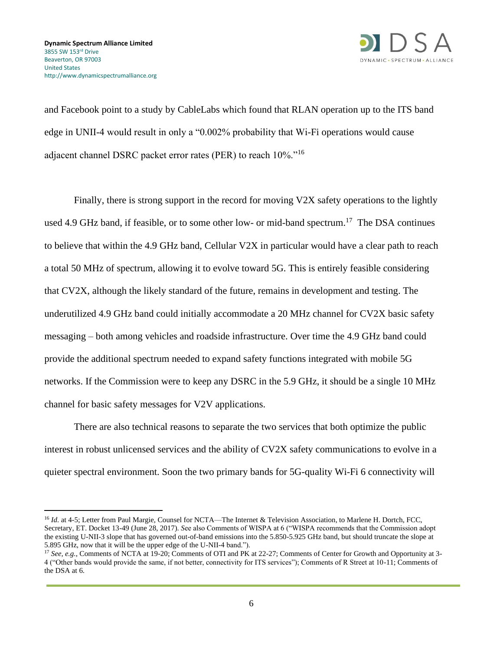

and Facebook point to a study by CableLabs which found that RLAN operation up to the ITS band edge in UNII-4 would result in only a "0.002% probability that Wi-Fi operations would cause adjacent channel DSRC packet error rates (PER) to reach 10%."<sup>16</sup>

Finally, there is strong support in the record for moving V2X safety operations to the lightly used 4.9 GHz band, if feasible, or to some other low- or mid-band spectrum.<sup>17</sup> The DSA continues to believe that within the 4.9 GHz band, Cellular V2X in particular would have a clear path to reach a total 50 MHz of spectrum, allowing it to evolve toward 5G. This is entirely feasible considering that CV2X, although the likely standard of the future, remains in development and testing. The underutilized 4.9 GHz band could initially accommodate a 20 MHz channel for CV2X basic safety messaging – both among vehicles and roadside infrastructure. Over time the 4.9 GHz band could provide the additional spectrum needed to expand safety functions integrated with mobile 5G networks. If the Commission were to keep any DSRC in the 5.9 GHz, it should be a single 10 MHz channel for basic safety messages for V2V applications.

There are also technical reasons to separate the two services that both optimize the public interest in robust unlicensed services and the ability of CV2X safety communications to evolve in a quieter spectral environment. Soon the two primary bands for 5G-quality Wi-Fi 6 connectivity will

<sup>&</sup>lt;sup>16</sup> *Id.* at 4-5; Letter from Paul Margie, Counsel for NCTA—The Internet & Television Association, to Marlene H. Dortch, FCC, Secretary, ET. Docket 13-49 (June 28, 2017). *S*ee also Comments of WISPA at 6 ("WISPA recommends that the Commission adopt the existing U-NII-3 slope that has governed out-of-band emissions into the 5.850-5.925 GHz band, but should truncate the slope at 5.895 GHz, now that it will be the upper edge of the U-NII-4 band.").

<sup>&</sup>lt;sup>17</sup> *See, e.g.*, Comments of NCTA at 19-20; Comments of OTI and PK at 22-27; Comments of Center for Growth and Opportunity at 3-4 ("Other bands would provide the same, if not better, connectivity for ITS services"); Comments of R Street at 10-11; Comments of the DSA at 6.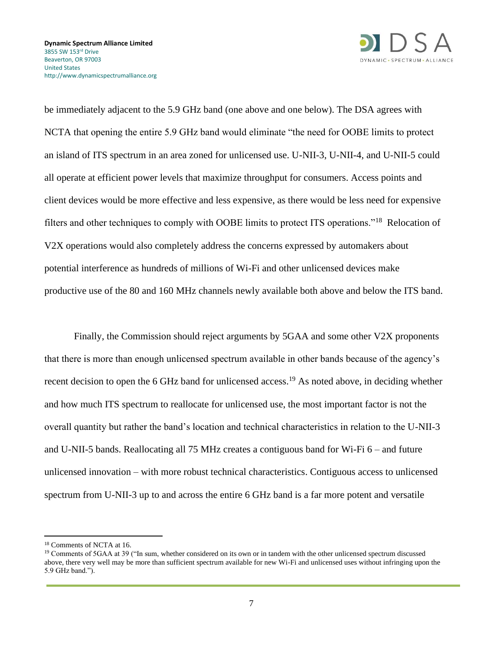

be immediately adjacent to the 5.9 GHz band (one above and one below). The DSA agrees with NCTA that opening the entire 5.9 GHz band would eliminate "the need for OOBE limits to protect an island of ITS spectrum in an area zoned for unlicensed use. U-NII-3, U-NII-4, and U-NII-5 could all operate at efficient power levels that maximize throughput for consumers. Access points and client devices would be more effective and less expensive, as there would be less need for expensive filters and other techniques to comply with OOBE limits to protect ITS operations."<sup>18</sup> Relocation of V2X operations would also completely address the concerns expressed by automakers about potential interference as hundreds of millions of Wi-Fi and other unlicensed devices make productive use of the 80 and 160 MHz channels newly available both above and below the ITS band.

Finally, the Commission should reject arguments by 5GAA and some other V2X proponents that there is more than enough unlicensed spectrum available in other bands because of the agency's recent decision to open the 6 GHz band for unlicensed access.<sup>19</sup> As noted above, in deciding whether and how much ITS spectrum to reallocate for unlicensed use, the most important factor is not the overall quantity but rather the band's location and technical characteristics in relation to the U-NII-3 and U-NII-5 bands. Reallocating all 75 MHz creates a contiguous band for Wi-Fi 6 – and future unlicensed innovation – with more robust technical characteristics. Contiguous access to unlicensed spectrum from U-NII-3 up to and across the entire 6 GHz band is a far more potent and versatile

<sup>18</sup> Comments of NCTA at 16.

<sup>&</sup>lt;sup>19</sup> Comments of 5GAA at 39 ("In sum, whether considered on its own or in tandem with the other unlicensed spectrum discussed above, there very well may be more than sufficient spectrum available for new Wi-Fi and unlicensed uses without infringing upon the 5.9 GHz band.").